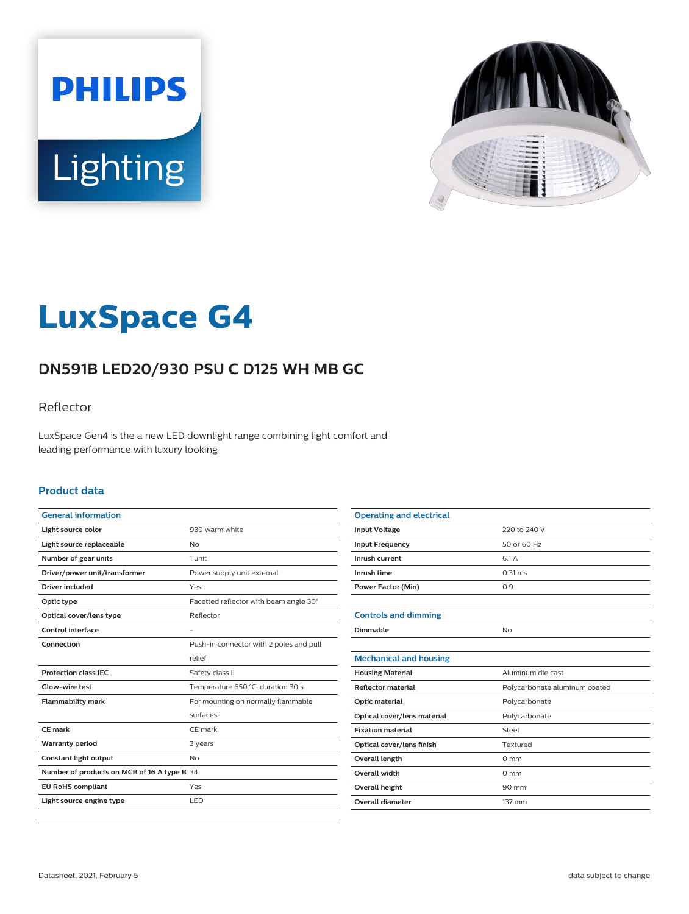



# **LuxSpace G4**

# **DN591B LED20/930 PSU C D125 WH MB GC**

### Reflector

LuxSpace Gen4 is the a new LED downlight range combining light comfort and leading performance with luxury looking

#### **Product data**

| <b>General information</b>                  |                                         |
|---------------------------------------------|-----------------------------------------|
| Light source color                          | 930 warm white                          |
| Light source replaceable                    | <b>No</b>                               |
| Number of gear units                        | 1 unit                                  |
| Driver/power unit/transformer               | Power supply unit external              |
| Driver included                             | Yes                                     |
| Optic type                                  | Facetted reflector with beam angle 30°  |
| Optical cover/lens type                     | Reflector                               |
| Control interface                           |                                         |
| Connection                                  | Push-in connector with 2 poles and pull |
|                                             | relief                                  |
| <b>Protection class IEC</b>                 | Safety class II                         |
| Glow-wire test                              | Temperature 650 °C, duration 30 s       |
| <b>Flammability mark</b>                    | For mounting on normally flammable      |
|                                             | surfaces                                |
| <b>CE</b> mark                              | CE mark                                 |
| <b>Warranty period</b>                      | 3 years                                 |
| Constant light output                       | <b>No</b>                               |
| Number of products on MCB of 16 A type B 34 |                                         |
| <b>EU RoHS compliant</b>                    | Yes                                     |
| Light source engine type                    | LED                                     |
|                                             |                                         |

| <b>Operating and electrical</b> |                               |
|---------------------------------|-------------------------------|
| <b>Input Voltage</b>            | 220 to 240 V                  |
| <b>Input Frequency</b>          | 50 or 60 Hz                   |
| Inrush current                  | 6.1 A                         |
| Inrush time                     | $0.31$ ms                     |
| <b>Power Factor (Min)</b>       | 0.9                           |
|                                 |                               |
| <b>Controls and dimming</b>     |                               |
| Dimmable                        | No                            |
|                                 |                               |
| <b>Mechanical and housing</b>   |                               |
| <b>Housing Material</b>         | Aluminum die cast             |
| Reflector material              | Polycarbonate aluminum coated |
| Optic material                  | Polycarbonate                 |
| Optical cover/lens material     | Polycarbonate                 |
| <b>Fixation material</b>        | Steel                         |
| Optical cover/lens finish       | Textured                      |
| <b>Overall length</b>           | $0 \text{ mm}$                |
| Overall width                   | $0 \text{ mm}$                |
| <b>Overall height</b>           | 90 mm                         |
| <b>Overall diameter</b>         | 137 mm                        |
|                                 |                               |